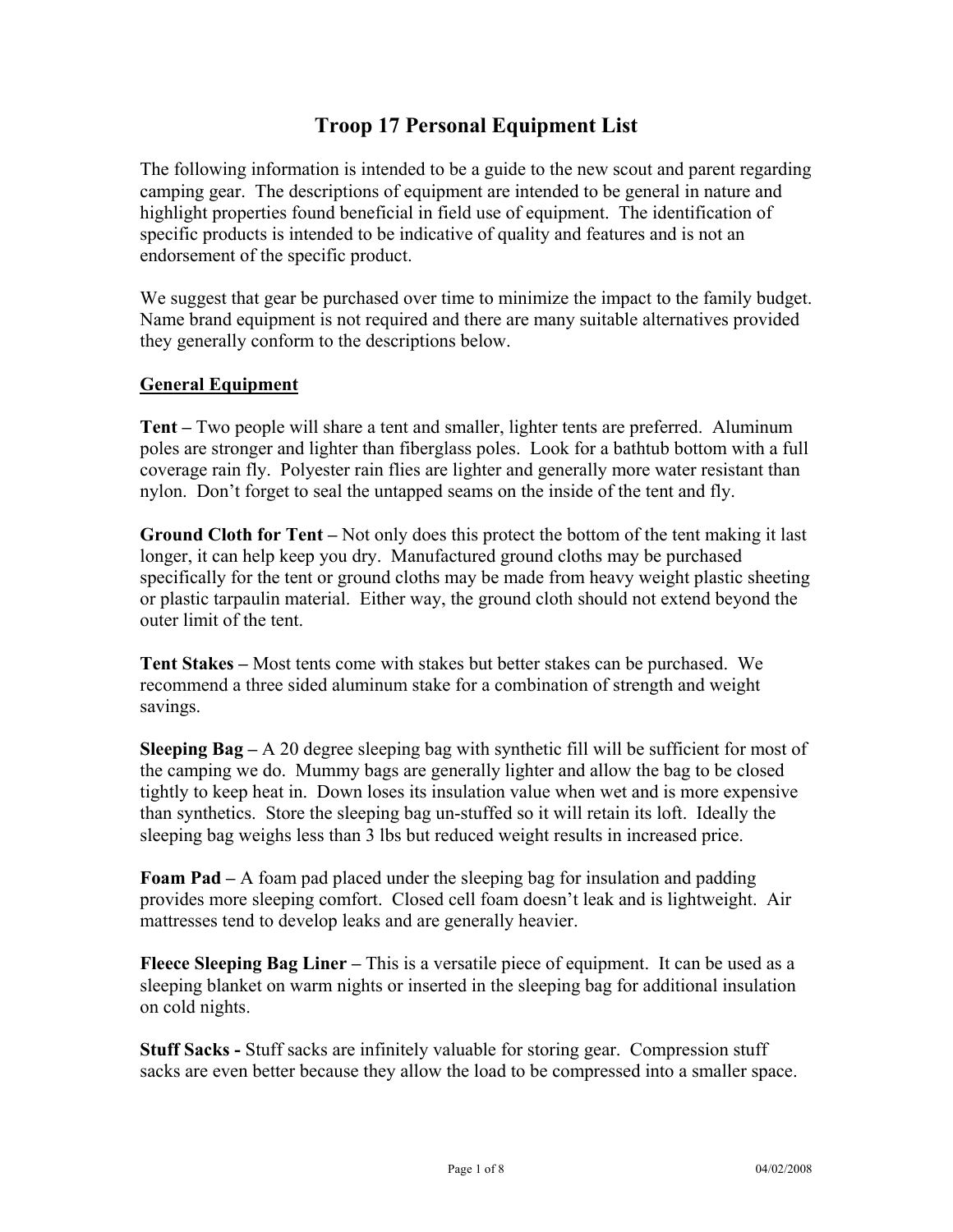# **Troop 17 Personal Equipment List**

The following information is intended to be a guide to the new scout and parent regarding camping gear. The descriptions of equipment are intended to be general in nature and highlight properties found beneficial in field use of equipment. The identification of specific products is intended to be indicative of quality and features and is not an endorsement of the specific product.

We suggest that gear be purchased over time to minimize the impact to the family budget. Name brand equipment is not required and there are many suitable alternatives provided they generally conform to the descriptions below.

#### **General Equipment**

**Tent –** Two people will share a tent and smaller, lighter tents are preferred. Aluminum poles are stronger and lighter than fiberglass poles. Look for a bathtub bottom with a full coverage rain fly. Polyester rain flies are lighter and generally more water resistant than nylon. Don't forget to seal the untapped seams on the inside of the tent and fly.

**Ground Cloth for Tent –** Not only does this protect the bottom of the tent making it last longer, it can help keep you dry. Manufactured ground cloths may be purchased specifically for the tent or ground cloths may be made from heavy weight plastic sheeting or plastic tarpaulin material. Either way, the ground cloth should not extend beyond the outer limit of the tent.

**Tent Stakes –** Most tents come with stakes but better stakes can be purchased. We recommend a three sided aluminum stake for a combination of strength and weight savings.

**Sleeping Bag –** A 20 degree sleeping bag with synthetic fill will be sufficient for most of the camping we do. Mummy bags are generally lighter and allow the bag to be closed tightly to keep heat in. Down loses its insulation value when wet and is more expensive than synthetics. Store the sleeping bag un-stuffed so it will retain its loft. Ideally the sleeping bag weighs less than 3 lbs but reduced weight results in increased price.

**Foam Pad –** A foam pad placed under the sleeping bag for insulation and padding provides more sleeping comfort. Closed cell foam doesn't leak and is lightweight. Air mattresses tend to develop leaks and are generally heavier.

**Fleece Sleeping Bag Liner –** This is a versatile piece of equipment. It can be used as a sleeping blanket on warm nights or inserted in the sleeping bag for additional insulation on cold nights.

**Stuff Sacks -** Stuff sacks are infinitely valuable for storing gear. Compression stuff sacks are even better because they allow the load to be compressed into a smaller space.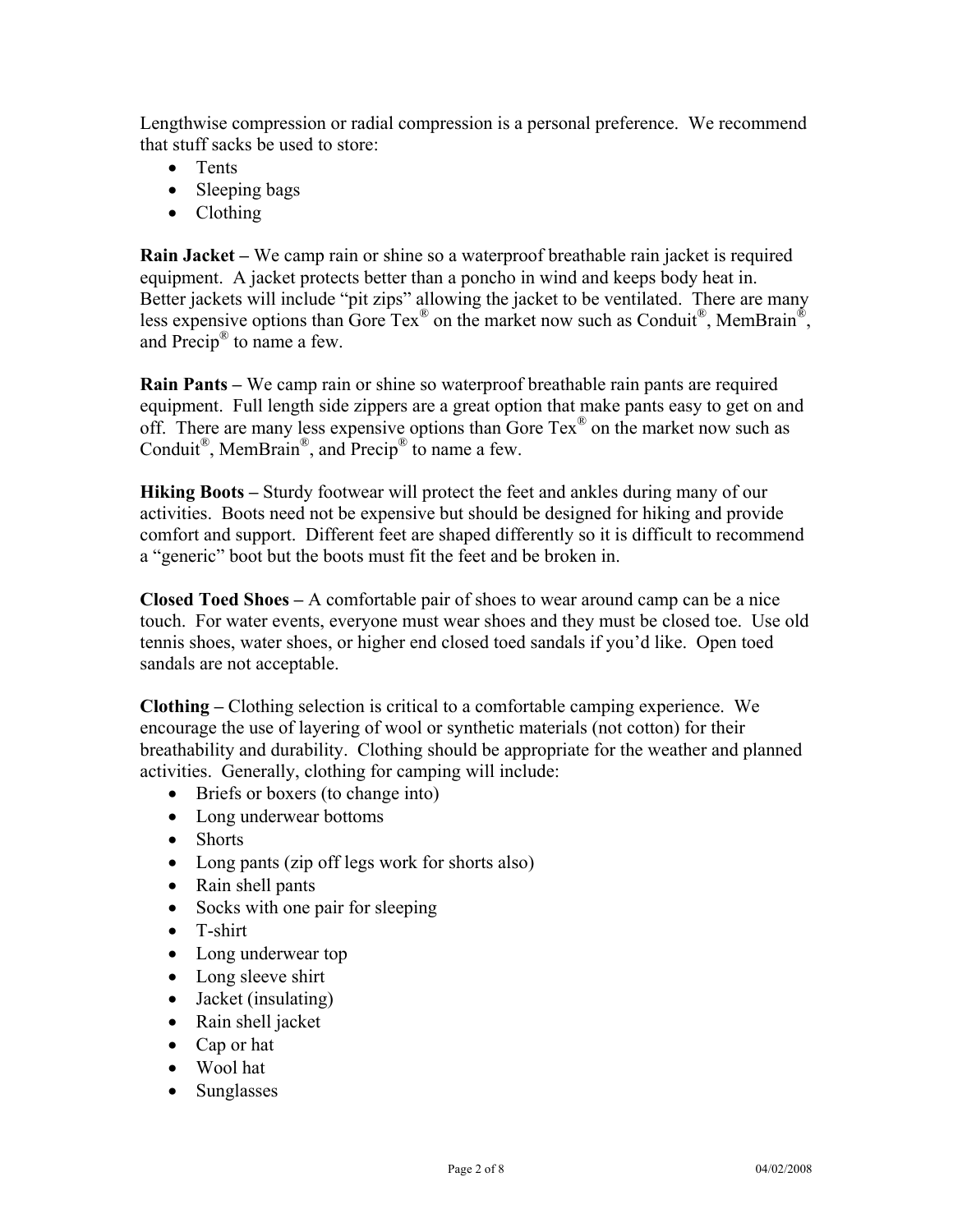Lengthwise compression or radial compression is a personal preference. We recommend that stuff sacks be used to store:

- Tents
- Sleeping bags
- Clothing

**Rain Jacket –** We camp rain or shine so a waterproof breathable rain jacket is required equipment. A jacket protects better than a poncho in wind and keeps body heat in. Better jackets will include "pit zips" allowing the jacket to be ventilated. There are many less expensive options than Gore Tex<sup>®</sup> on the market now such as Conduit<sup>®</sup>, MemBrain<sup>®</sup>, and  $Precip^{\circledR}$  to name a few.

**Rain Pants –** We camp rain or shine so waterproof breathable rain pants are required equipment. Full length side zippers are a great option that make pants easy to get on and off. There are many less expensive options than Gore  $Tex^{\mathcal{R}}$  on the market now such as Conduit<sup>®</sup>, MemBrain<sup>®</sup>, and Precip<sup>®</sup> to name a few.

**Hiking Boots** – Sturdy footwear will protect the feet and ankles during many of our activities. Boots need not be expensive but should be designed for hiking and provide comfort and support. Different feet are shaped differently so it is difficult to recommend a "generic" boot but the boots must fit the feet and be broken in.

**Closed Toed Shoes –** A comfortable pair of shoes to wear around camp can be a nice touch. For water events, everyone must wear shoes and they must be closed toe. Use old tennis shoes, water shoes, or higher end closed toed sandals if you'd like. Open toed sandals are not acceptable.

**Clothing –** Clothing selection is critical to a comfortable camping experience. We encourage the use of layering of wool or synthetic materials (not cotton) for their breathability and durability. Clothing should be appropriate for the weather and planned activities. Generally, clothing for camping will include:

- Briefs or boxers (to change into)
- Long underwear bottoms
- Shorts
- Long pants (zip off legs work for shorts also)
- Rain shell pants
- Socks with one pair for sleeping
- T-shirt
- Long underwear top
- Long sleeve shirt
- Jacket (insulating)
- Rain shell jacket
- Cap or hat
- Wool hat
- Sunglasses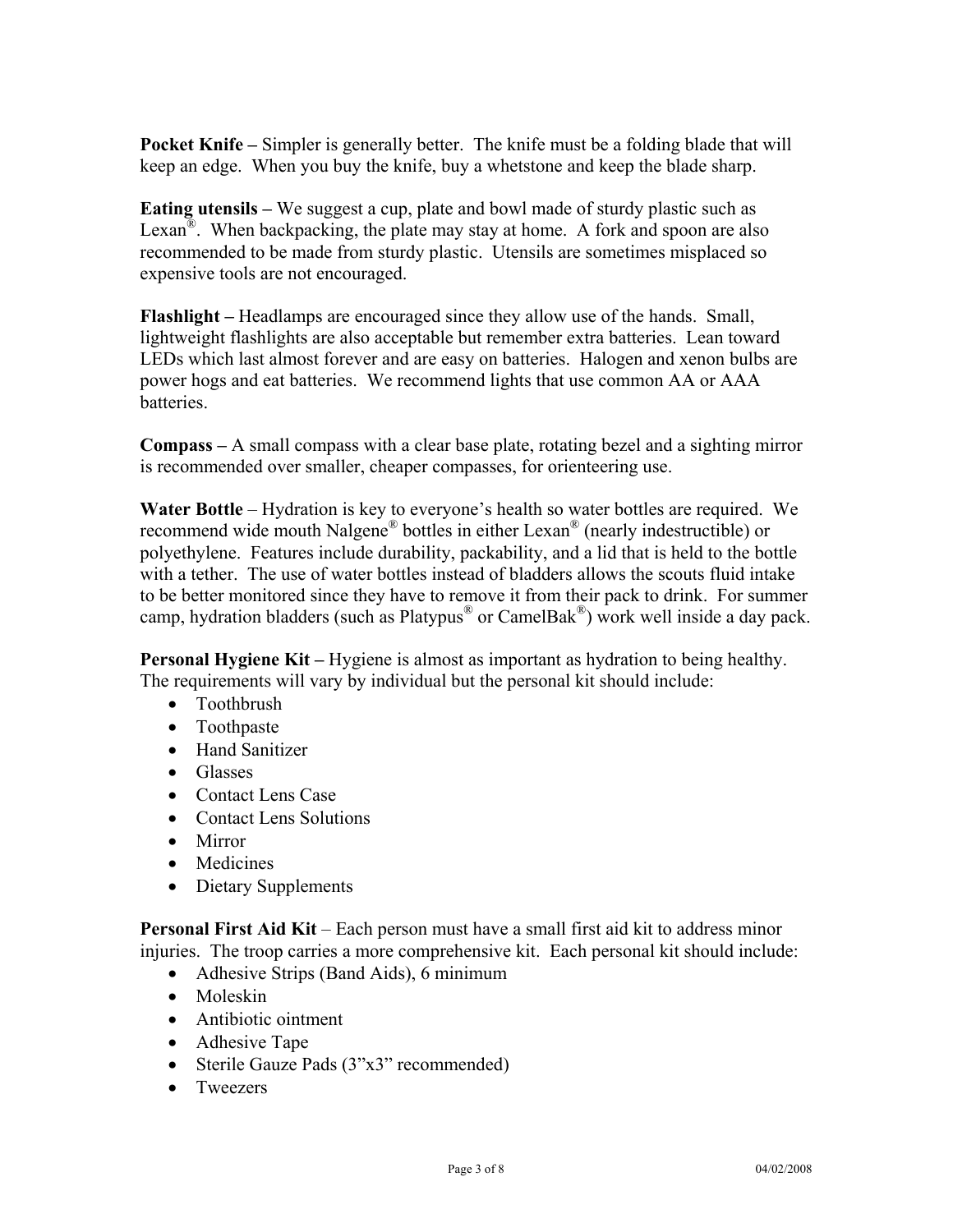**Pocket Knife –** Simpler is generally better. The knife must be a folding blade that will keep an edge. When you buy the knife, buy a whetstone and keep the blade sharp.

**Eating utensils –** We suggest a cup, plate and bowl made of sturdy plastic such as Lexan<sup>®</sup>. When backpacking, the plate may stay at home. A fork and spoon are also recommended to be made from sturdy plastic. Utensils are sometimes misplaced so expensive tools are not encouraged.

**Flashlight –** Headlamps are encouraged since they allow use of the hands. Small, lightweight flashlights are also acceptable but remember extra batteries. Lean toward LEDs which last almost forever and are easy on batteries. Halogen and xenon bulbs are power hogs and eat batteries. We recommend lights that use common AA or AAA batteries.

**Compass –** A small compass with a clear base plate, rotating bezel and a sighting mirror is recommended over smaller, cheaper compasses, for orienteering use.

**Water Bottle** – Hydration is key to everyone's health so water bottles are required. We recommend wide mouth Nalgene® bottles in either Lexan® (nearly indestructible) or polyethylene. Features include durability, packability, and a lid that is held to the bottle with a tether. The use of water bottles instead of bladders allows the scouts fluid intake to be better monitored since they have to remove it from their pack to drink. For summer camp, hydration bladders (such as Platypus® or CamelBak®) work well inside a day pack.

**Personal Hygiene Kit –** Hygiene is almost as important as hydration to being healthy. The requirements will vary by individual but the personal kit should include:

- Toothbrush
- Toothpaste
- Hand Sanitizer
- Glasses
- Contact Lens Case
- Contact Lens Solutions
- Mirror
- Medicines
- Dietary Supplements

**Personal First Aid Kit** – Each person must have a small first aid kit to address minor injuries. The troop carries a more comprehensive kit. Each personal kit should include:

- Adhesive Strips (Band Aids), 6 minimum
- Moleskin
- Antibiotic ointment
- Adhesive Tape
- Sterile Gauze Pads (3"x3" recommended)
- Tweezers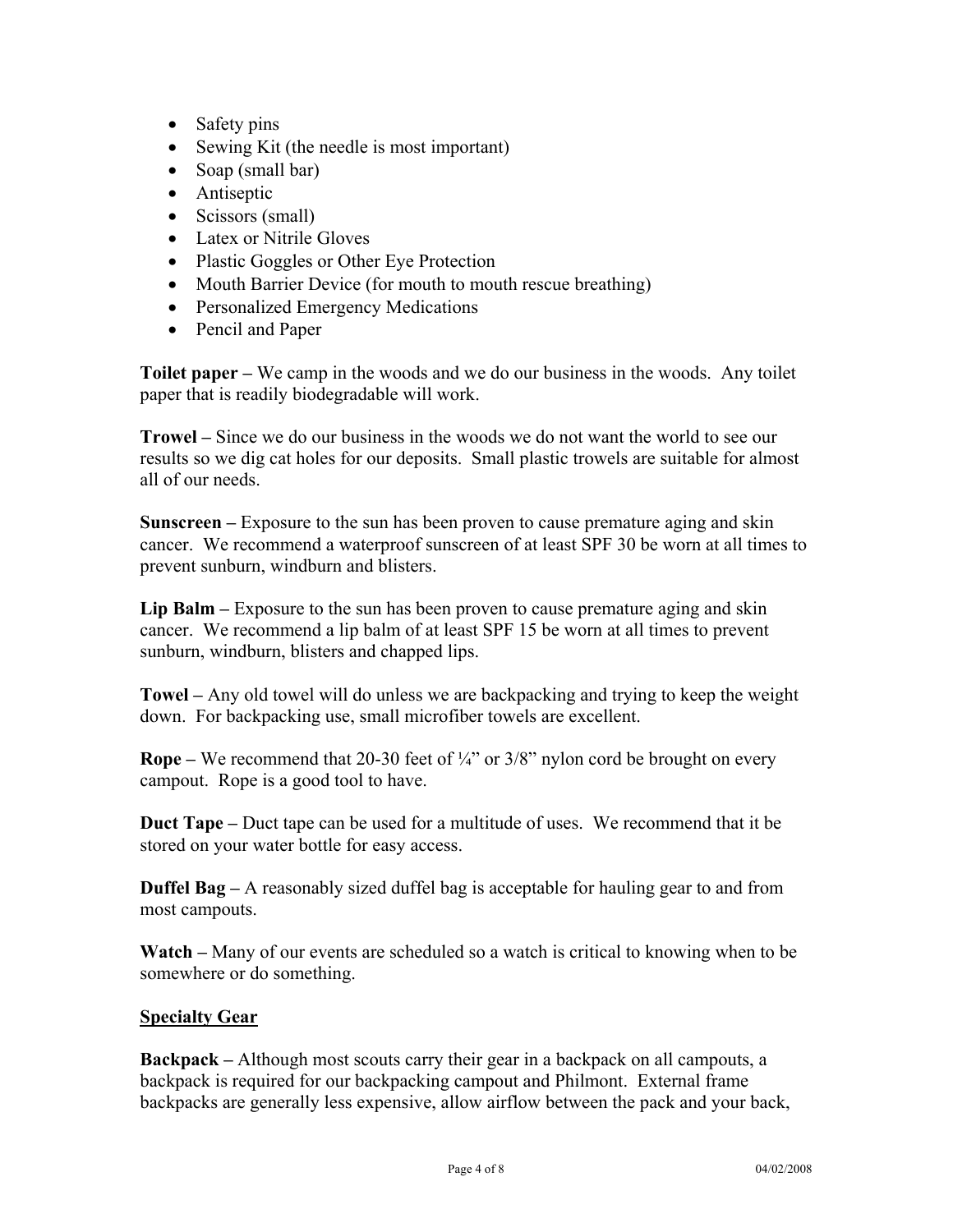- Safety pins
- Sewing Kit (the needle is most important)
- Soap (small bar)
- Antiseptic
- Scissors (small)
- Latex or Nitrile Gloves
- Plastic Goggles or Other Eye Protection
- Mouth Barrier Device (for mouth to mouth rescue breathing)
- Personalized Emergency Medications
- Pencil and Paper

**Toilet paper –** We camp in the woods and we do our business in the woods. Any toilet paper that is readily biodegradable will work.

**Trowel –** Since we do our business in the woods we do not want the world to see our results so we dig cat holes for our deposits. Small plastic trowels are suitable for almost all of our needs.

**Sunscreen –** Exposure to the sun has been proven to cause premature aging and skin cancer. We recommend a waterproof sunscreen of at least SPF 30 be worn at all times to prevent sunburn, windburn and blisters.

**Lip Balm –** Exposure to the sun has been proven to cause premature aging and skin cancer. We recommend a lip balm of at least SPF 15 be worn at all times to prevent sunburn, windburn, blisters and chapped lips.

**Towel –** Any old towel will do unless we are backpacking and trying to keep the weight down. For backpacking use, small microfiber towels are excellent.

**Rope** – We recommend that 20-30 feet of  $\frac{1}{4}$ " or 3/8" nylon cord be brought on every campout. Rope is a good tool to have.

**Duct Tape –** Duct tape can be used for a multitude of uses. We recommend that it be stored on your water bottle for easy access.

**Duffel Bag –** A reasonably sized duffel bag is acceptable for hauling gear to and from most campouts.

**Watch –** Many of our events are scheduled so a watch is critical to knowing when to be somewhere or do something.

## **Specialty Gear**

**Backpack –** Although most scouts carry their gear in a backpack on all campouts, a backpack is required for our backpacking campout and Philmont. External frame backpacks are generally less expensive, allow airflow between the pack and your back,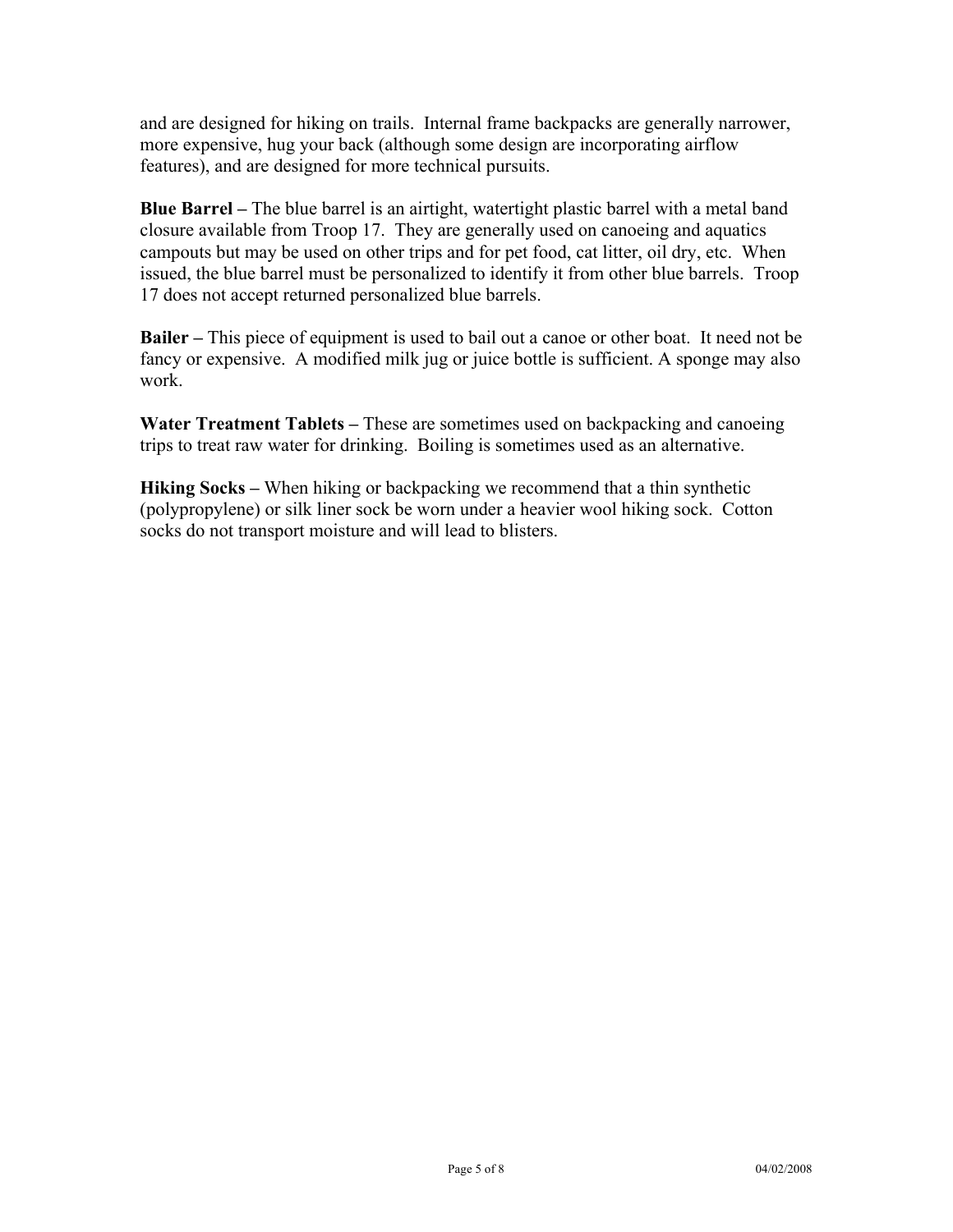and are designed for hiking on trails. Internal frame backpacks are generally narrower, more expensive, hug your back (although some design are incorporating airflow features), and are designed for more technical pursuits.

**Blue Barrel –** The blue barrel is an airtight, watertight plastic barrel with a metal band closure available from Troop 17. They are generally used on canoeing and aquatics campouts but may be used on other trips and for pet food, cat litter, oil dry, etc. When issued, the blue barrel must be personalized to identify it from other blue barrels. Troop 17 does not accept returned personalized blue barrels.

**Bailer –** This piece of equipment is used to bail out a canoe or other boat. It need not be fancy or expensive. A modified milk jug or juice bottle is sufficient. A sponge may also work.

**Water Treatment Tablets –** These are sometimes used on backpacking and canoeing trips to treat raw water for drinking. Boiling is sometimes used as an alternative.

**Hiking Socks –** When hiking or backpacking we recommend that a thin synthetic (polypropylene) or silk liner sock be worn under a heavier wool hiking sock. Cotton socks do not transport moisture and will lead to blisters.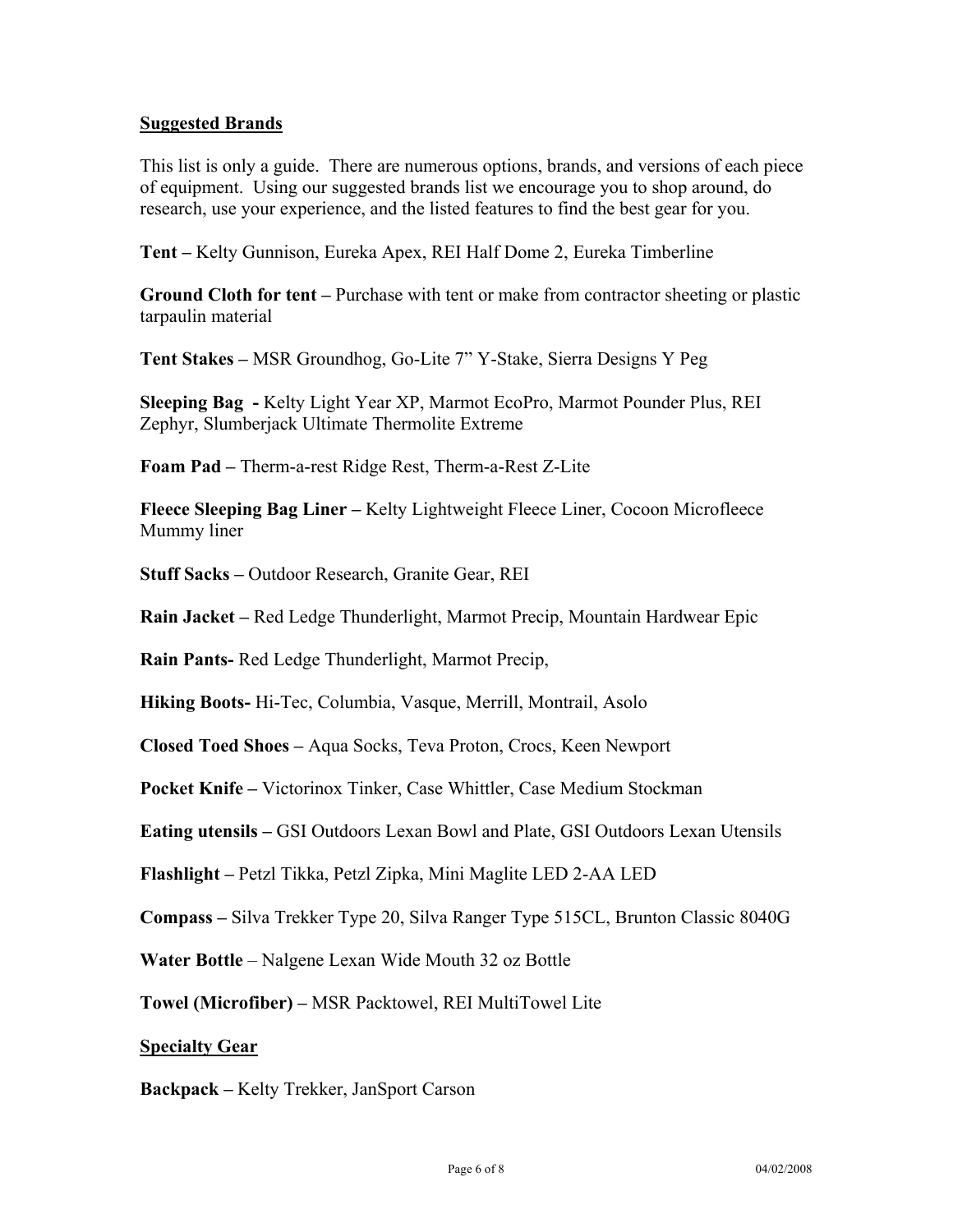#### **Suggested Brands**

This list is only a guide. There are numerous options, brands, and versions of each piece of equipment. Using our suggested brands list we encourage you to shop around, do research, use your experience, and the listed features to find the best gear for you.

**Tent –** Kelty Gunnison, Eureka Apex, REI Half Dome 2, Eureka Timberline

**Ground Cloth for tent –** Purchase with tent or make from contractor sheeting or plastic tarpaulin material

**Tent Stakes –** MSR Groundhog, Go-Lite 7" Y-Stake, Sierra Designs Y Peg

**Sleeping Bag -** Kelty Light Year XP, Marmot EcoPro, Marmot Pounder Plus, REI Zephyr, Slumberjack Ultimate Thermolite Extreme

**Foam Pad –** Therm-a-rest Ridge Rest, Therm-a-Rest Z-Lite

**Fleece Sleeping Bag Liner –** Kelty Lightweight Fleece Liner, Cocoon Microfleece Mummy liner

**Stuff Sacks –** Outdoor Research, Granite Gear, REI

**Rain Jacket –** Red Ledge Thunderlight, Marmot Precip, Mountain Hardwear Epic

**Rain Pants-** Red Ledge Thunderlight, Marmot Precip,

**Hiking Boots-** Hi-Tec, Columbia, Vasque, Merrill, Montrail, Asolo

**Closed Toed Shoes –** Aqua Socks, Teva Proton, Crocs, Keen Newport

**Pocket Knife –** Victorinox Tinker, Case Whittler, Case Medium Stockman

**Eating utensils –** GSI Outdoors Lexan Bowl and Plate, GSI Outdoors Lexan Utensils

**Flashlight –** Petzl Tikka, Petzl Zipka, Mini Maglite LED 2-AA LED

**Compass –** Silva Trekker Type 20, Silva Ranger Type 515CL, Brunton Classic 8040G

**Water Bottle** – Nalgene Lexan Wide Mouth 32 oz Bottle

**Towel (Microfiber) –** MSR Packtowel, REI MultiTowel Lite

#### **Specialty Gear**

**Backpack –** Kelty Trekker, JanSport Carson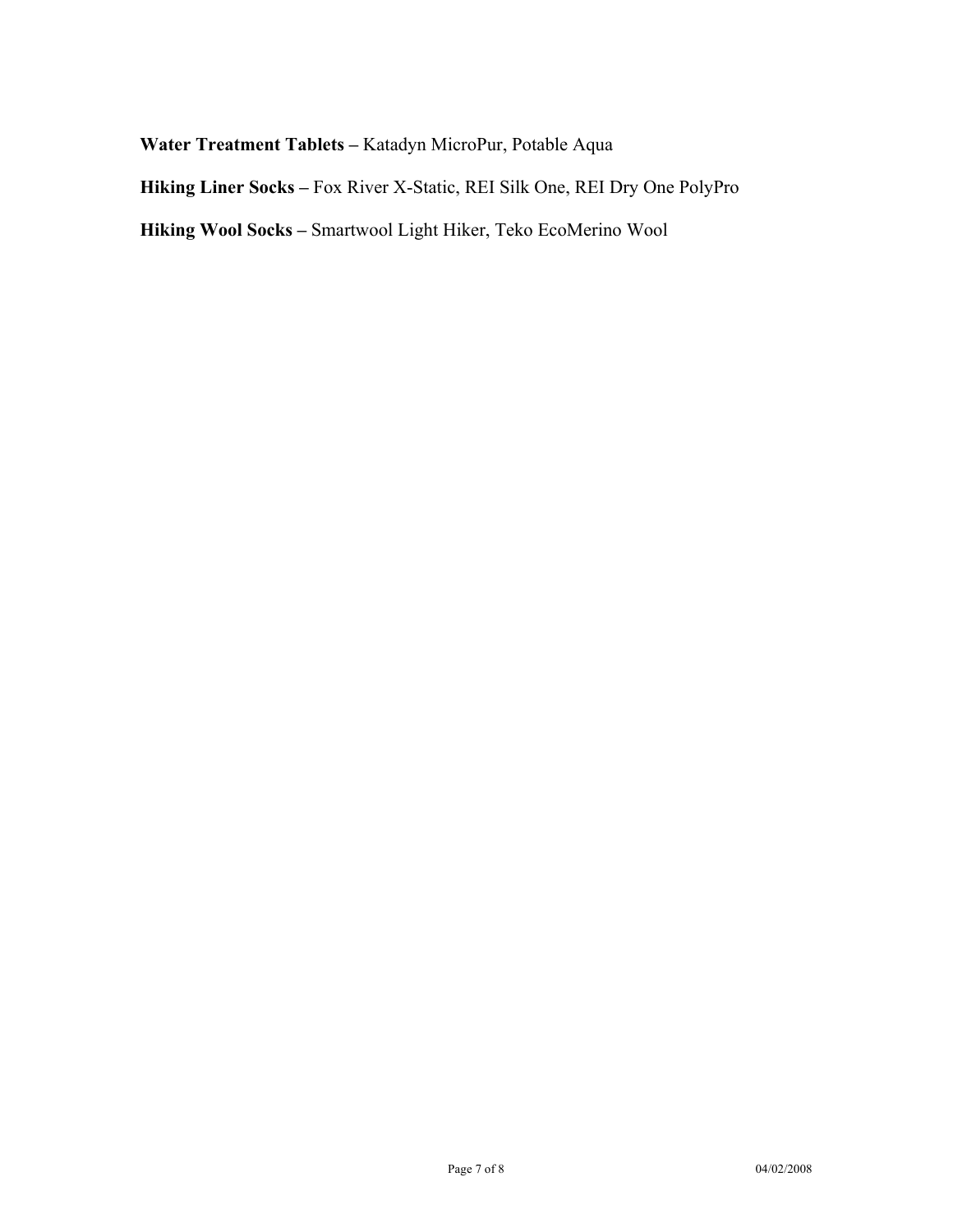# **Water Treatment Tablets –** Katadyn MicroPur, Potable Aqua

**Hiking Liner Socks –** Fox River X-Static, REI Silk One, REI Dry One PolyPro

**Hiking Wool Socks –** Smartwool Light Hiker, Teko EcoMerino Wool